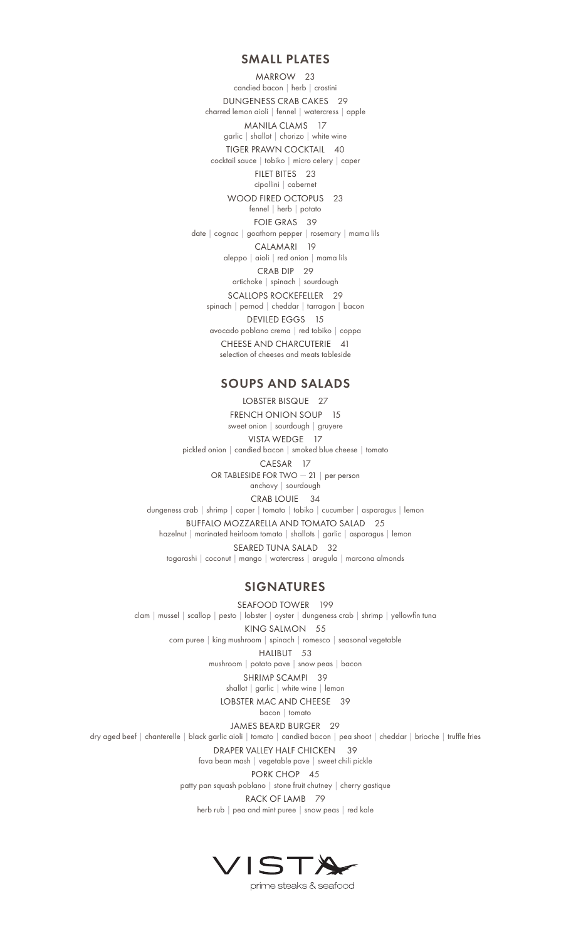#### SMALL PLATES

MARROW 23 candied bacon | herb | crostini DUNGENESS CRAB CAKES 29 charred lemon aioli | fennel | watercress | apple MANILA CLAMS 17 garlic | shallot | chorizo | white wine TIGER PRAWN COCKTAIL 40 cocktail sauce | tobiko | micro celery | caper FILET BITES 23 cipollini | cabernet WOOD FIRED OCTOPUS 23 fennel | herb | potato FOIE GRAS 39 date | cognac | goathorn pepper | rosemary | mama lils CALAMARI 19 aleppo | aioli | red onion | mama lils CRAB DIP 29 artichoke | spinach | sourdough SCALLOPS ROCKEFELLER 29 spinach | pernod | cheddar | tarragon | bacon DEVILED EGGS 15 avocado poblano crema | red tobiko | coppa CHEESE AND CHARCUTERIE 41 selection of cheeses and meats tableside

## SOUPS AND SALADS

LOBSTER BISQUE 27 FRENCH ONION SOUP 15 sweet onion | sourdough | gruyere VISTA WEDGE 17 pickled onion | candied bacon | smoked blue cheese | tomato CAESAR 17 OR TABLESIDE FOR TWO — 21 | per person anchovy | sourdough CRAB LOUIE 34 dungeness crab | shrimp | caper | tomato | tobiko | cucumber | asparagus | lemon BUFFALO MOZZARELLA AND TOMATO SALAD 25  $\begin{minipage}{.4\linewidth} \textit{haze} \textit{ln} \textit{ln} \textit{ln} \textit{ln} \textit{ln} \textit{ln} \textit{ln} \textit{ln} \textit{ln} \textit{ln} \textit{ln} \textit{ln} \textit{ln} \textit{ln} \textit{ln} \textit{ln} \textit{ln} \textit{ln} \textit{ln} \textit{ln} \textit{ln} \textit{ln} \textit{ln} \textit{ln} \textit{ln} \textit{ln} \textit{ln} \textit{ln} \textit{ln} \textit{ln} \textit{ln} \textit{ln} \textit{ln} \textit$ SEARED TUNA SALAD 32 togarashi | coconut | mango | watercress | arugula | marcona almonds

## SIGNATURES

SEAFOOD TOWER 199 clam | mussel | scallop | pesto | lobster | oyster | dungeness crab | shrimp | yellowfin tuna KING SALMON 55 corn puree | king mushroom | spinach | romesco | seasonal vegetable

HALIBUT 53 mushroom | potato pave | snow peas | bacon

SHRIMP SCAMPI 39

shallot | garlic | white wine | lemon

LOBSTER MAC AND CHEESE 39

bacon | tomato

JAMES BEARD BURGER 29

dry aged beef | chanterelle | black garlic aioli | tomato | candied bacon | pea shoot | cheddar | brioche | truffle fries

DRAPER VALLEY HALF CHICKEN 39

fava bean mash | vegetable pave | sweet chili pickle

PORK CHOP 45

patty pan squash poblano | stone fruit chutney | cherry gastique

RACK OF LAMB 79

herb rub | pea and mint puree | snow peas | red kale



prime steaks & seafood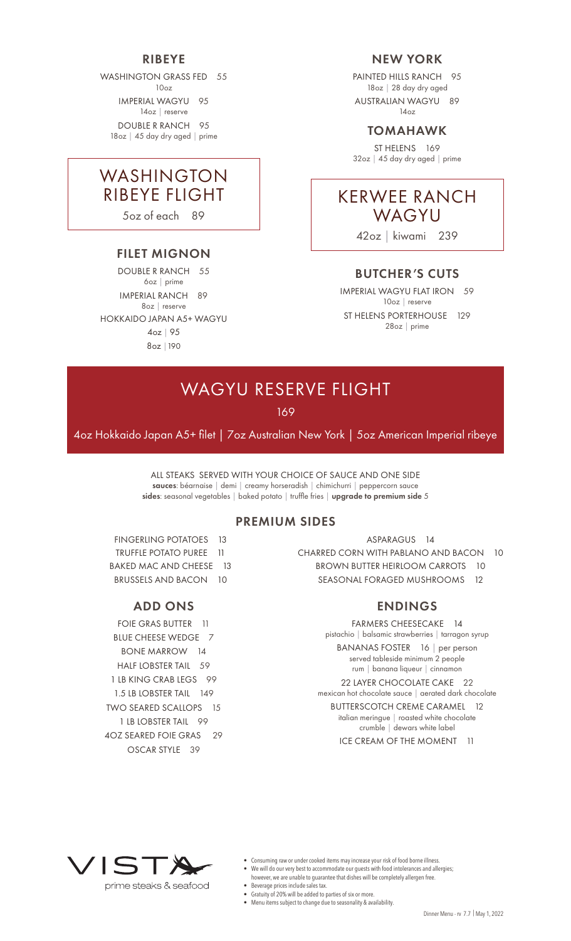## RIBEYE

WASHINGTON GRASS FED 55  $10<sub>0</sub>$ 

IMPERIAL WAGYU 95 14oz | reserve DOUBLE R RANCH 95

18oz | 45 day dry aged | prime

## WASHINGTON RIBEYE FLIGHT

5oz of each 89

### FILET MIGNON

DOUBLE R RANCH 55 6oz | prime IMPERIAL RANCH 89 8oz | reserve HOKKAIDO JAPAN A5+ WAGYU 4oz | 95 8oz |190

## NEW YORK

PAINTED HILLS RANCH 95 18oz | 28 day dry aged AUSTRALIAN WAGYU 89 14oz

## TOMAHAWK

ST HELENS 169 32oz | 45 day dry aged | prime



42oz | kiwami 239

## BUTCHER'S CUTS

IMPERIAL WAGYU FLAT IRON 59 10oz | reserve ST HELENS PORTERHOUSE 129 28oz | prime

# WAGYU RESERVE FLIGHT

169

4oz Hokkaido Japan A5+ filet | 7oz Australian New York | 5oz American Imperial ribeye

ALL STEAKS SERVED WITH YOUR CHOICE OF SAUCE AND ONE SIDE sauces: béarnaise | demi | creamy horseradish | chimichurri | peppercorn sauce sides: seasonal vegetables | baked potato | truffle fries | upgrade to premium side 5

### PREMIUM SIDES

FINGERLING POTATOES 13 TRUFFLE POTATO PUREE 11 BAKED MAC AND CHEESE 13 BRUSSELS AND BACON 10

## ADD ONS

FOIE GRAS BUTTER 11 BLUE CHEESE WEDGE 7 BONE MARROW 14 HALF LOBSTER TAIL 59 1 LB KING CRAB LEGS 99 1.5 LB LOBSTER TAIL 149 TWO SEARED SCALLOPS 15 1 LB LOBSTER TAIL 99 4OZ SEARED FOIE GRAS 29 OSCAR STYLE 39

ASPARAGUS 14 CHARRED CORN WITH PABLANO AND BACON 10 BROWN BUTTER HEIRLOOM CARROTS 10 SEASONAL FORAGED MUSHROOMS 12

#### ENDINGS

FARMERS CHEESECAKE 14 pistachio | balsamic strawberries | tarragon syrup BANANAS FOSTER 16 | per person served tableside minimum 2 people rum | banana liqueur | cinnamon 22 LAYER CHOCOLATE CAKE 22 mexican hot chocolate sauce | aerated dark chocolate BUTTERSCOTCH CREME CARAMEL 12 italian meringue | roasted white chocolate crumble | dewars white label ICE CREAM OF THE MOMENT 11



- Consuming raw or under cooked items may increase your risk of food borne illness.
- We will do our very best to accommodate our guests with food intolerances and allergies; however, we are unable to guarantee that dishes will be completely allergen free.
- Beverage prices include sales tax.
- Gratuity of 20% will be added to parties of six or more.
- Menu items subject to change due to seasonality & availability.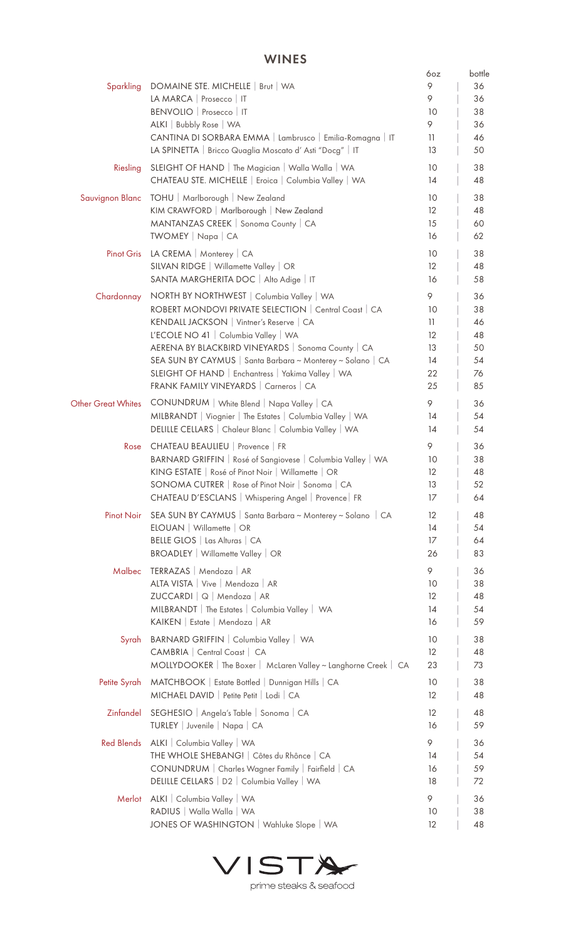## WINES

|                    | VVIIVLJ                                                                                                    |                         |              |
|--------------------|------------------------------------------------------------------------------------------------------------|-------------------------|--------------|
| Sparkling          | DOMAINE STE. MICHELLE   Brut   WA                                                                          | 6oz<br>9                | bottle<br>36 |
|                    | LA MARCA   Prosecco   IT                                                                                   | 9                       | 36           |
|                    | BENVOLIO   Prosecco   IT                                                                                   | 10                      | 38           |
|                    | ALKI   Bubbly Rose   WA                                                                                    | 9                       | 36           |
|                    | CANTINA DI SORBARA EMMA   Lambrusco   Emilia-Romagna   IT                                                  | 11                      | 46           |
|                    | LA SPINETTA   Bricco Quaglia Moscato d'Asti "Docg"   IT                                                    | 13                      | 50           |
| Riesling           | SLEIGHT OF HAND   The Magician   Walla Walla   WA<br>CHATEAU STE. MICHELLE   Eroica   Columbia Valley   WA | 10<br>14                | 38<br>48     |
| Sauvignon Blanc    | TOHU   Marlborough   New Zealand                                                                           | 10                      | 38           |
|                    | KIM CRAWFORD   Marlborough   New Zealand                                                                   | $12 \overline{ }$       | 48           |
|                    | MANTANZAS CREEK   Sonoma County   CA                                                                       | 15                      | 60           |
|                    | TWOMEY   Napa   CA                                                                                         | 16                      | 62           |
| <b>Pinot Gris</b>  | LA CREMA   Monterey   CA                                                                                   | 10                      | 38           |
|                    | SILVAN RIDGE   Willamette Valley   OR                                                                      | $12 \overline{ }$       | 48           |
|                    | SANTA MARGHERITA DOC   Alto Adige   IT                                                                     | 16                      | 58           |
| Chardonnay         | NORTH BY NORTHWEST   Columbia Valley   WA                                                                  | 9                       | 36           |
|                    | ROBERT MONDOVI PRIVATE SELECTION   Central Coast   CA                                                      | 10                      | 38           |
|                    | KENDALL JACKSON   Vintner's Reserve   CA<br>L'ECOLE NO 41   Columbia Valley   WA                           | 11<br>$12 \overline{ }$ | 46<br>48     |
|                    | AERENA BY BLACKBIRD VINEYARDS   Sonoma County   CA                                                         | 13                      | 50           |
|                    | SEA SUN BY CAYMUS   Santa Barbara ~ Monterey ~ Solano   CA                                                 | 14                      | 54           |
|                    | SLEIGHT OF HAND   Enchantress   Yakima Valley   WA                                                         | 22                      | 76           |
|                    | FRANK FAMILY VINEYARDS   Carneros   CA                                                                     | 25                      | 85           |
| Other Great Whites | CONUNDRUM   White Blend   Napa Valley   CA                                                                 | 9                       | 36           |
|                    | MILBRANDT   Viognier   The Estates   Columbia Valley   WA                                                  | 14                      | 54           |
|                    | DELILLE CELLARS   Chaleur Blanc   Columbia Valley   WA                                                     | 14                      | 54           |
| Rose               | CHATEAU BEAULIEU   Provence   FR                                                                           | 9                       | 36           |
|                    | BARNARD GRIFFIN   Rosé of Sangiovese   Columbia Valley   WA                                                | 10                      | 38           |
|                    | KING ESTATE   Rosé of Pinot Noir   Willamette   OR                                                         | $12 \overline{ }$       | 48           |
|                    | SONOMA CUTRER   Rose of Pinot Noir   Sonoma   CA                                                           | 13                      | 52           |
|                    | CHATEAU D'ESCLANS   Whispering Angel   Provence   FR                                                       | 17                      | 64           |
| Pinot Noir         | SEA SUN BY CAYMUS   Santa Barbara ~ Monterey ~ Solano   CA                                                 | 12                      | 48           |
|                    | ELOUAN   Willamette   OR                                                                                   | 14                      | 54           |
|                    | BELLE GLOS   Las Alturas   CA<br><b>BROADLEY</b>   Willamette Valley   OR                                  | 17                      | 64           |
|                    |                                                                                                            | 26                      | 83           |
| Malbec             | TERRAZAS   Mendoza   AR                                                                                    | 9                       | 36           |
|                    | ALTA VISTA   Vive   Mendoza   AR<br>ZUCCARDI   Q   Mendoza   AR                                            | 10<br>12                | 38<br>48     |
|                    | MILBRANDT   The Estates   Columbia Valley   WA                                                             | 14                      | 54           |
|                    | KAIKEN   Estate   Mendoza   AR                                                                             | 16                      | 59           |
| Syrah              | BARNARD GRIFFIN   Columbia Valley   WA                                                                     | 10                      | 38           |
|                    | CAMBRIA   Central Coast   CA                                                                               | 12                      | 48           |
|                    | MOLLYDOOKER   The Boxer   McLaren Valley ~ Langhorne Creek   CA                                            | 23                      | 73           |
| Petite Syrah       | MATCHBOOK   Estate Bottled   Dunnigan Hills   CA                                                           | 10 <sup>°</sup>         | 38           |
|                    | MICHAEL DAVID   Petite Petit   Lodi   CA                                                                   | 12                      | 48           |
| Zinfandel          | SEGHESIO   Angela's Table   Sonoma   CA                                                                    | 12                      | 48           |
|                    | TURLEY Juvenile   Napa   CA                                                                                | 16                      | 59           |
| <b>Red Blends</b>  |                                                                                                            | 9                       | 36           |
|                    | ALKI   Columbia Valley   WA<br>THE WHOLE SHEBANG!   Côtes du Rhônce   CA                                   | 14                      | 54           |
|                    | CONUNDRUM   Charles Wagner Family   Fairfield   CA                                                         | 16                      | 59           |
|                    | DELILLE CELLARS   D2   Columbia Valley   WA                                                                | 18                      | 72           |
| Merlot             | ALKI   Columbia Valley   WA                                                                                | 9                       | 36           |
|                    | RADIUS   Walla Walla   WA                                                                                  | 10                      | 38           |
|                    | JONES OF WASHINGTON   Wahluke Slope   WA                                                                   | 12                      | 48           |
|                    |                                                                                                            |                         |              |



prime steaks & seafood